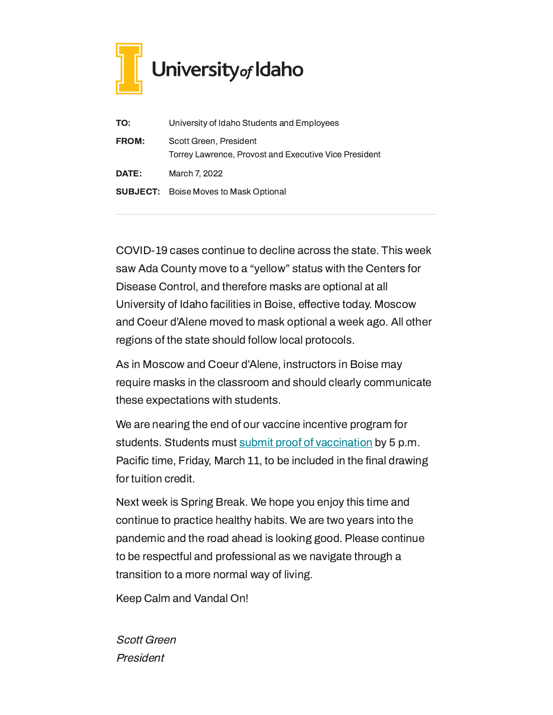

| TO:          | University of Idaho Students and Employees                                      |
|--------------|---------------------------------------------------------------------------------|
| <b>FROM:</b> | Scott Green, President<br>Torrey Lawrence, Provost and Executive Vice President |
| DATE:        | March 7, 2022                                                                   |
|              | <b>SUBJECT:</b> Boise Moves to Mask Optional                                    |

COVID-19 cases continue to decline across the state. This week saw Ada County move to a "yellow" status with the Centers for Disease Control, and therefore masks are optional at all University of Idaho facilities in Boise, effective today. Moscow and Coeur d'Alene moved to mask optional a week ago. All other regions of the state should follow local protocols.

As in Moscow and Coeur d'Alene, instructors in Boise may require masks in the classroom and should clearly communicate these expectations with students.

We are nearing the end of our vaccine incentive program for students. Students must submit proof of [vaccination](https://www.uidaho.edu/vandal-health-clinic/coronavirus) by 5 p.m. Pacific time, Friday, March 11, to be included in the final drawing for tuition credit.

Next week is Spring Break. We hope you enjoy this time and continue to practice healthy habits. We are two years into the pandemic and the road ahead is looking good. Please continue to be respectful and professional as we navigate through a transition to a more normal way of living.

Keep Calm and Vandal On!

Scott Green President